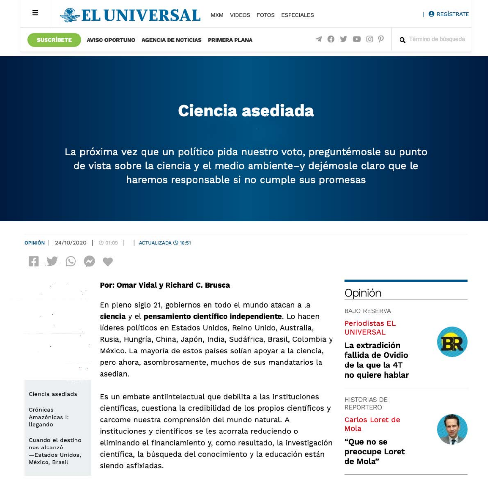



SUSCRIBETE

AVISO OPORTUNO AGENCIA DE NOTICIAS PRIMERA PLANA

# Ciencia asediada

La próxima vez que un político pida nuestro voto, preguntémosle su punto de vista sobre la ciencia y el medio ambiente-y dejémosle claro que le haremos responsable si no cumple sus promesas

OPINIÓN 24/10/2020 | 001:09 ACTUALIZADA **4** 10:51

**FIYO** 

Por: Omar Vidal y Richard C. Brusca

En pleno siglo 21, gobiernos en todo el mundo atacan a la ciencia y el pensamiento científico independiente. Lo hacen líderes políticos en Estados Unidos, Reino Unido, Australia, Rusia, Hungría, China, Japón, India, Sudáfrica, Brasil, Colombia y México. La mayoría de estos países solían apoyar a la ciencia, pero ahora, asombrosamente, muchos de sus mandatarios la asedian.

Ciencia asediada

Crónicas Amazónicas I: llegando

Cuando el destino nos alcanzó —Estados Unidos, México, Brasil

Es un embate antiintelectual que debilita a las instituciones científicas, cuestiona la credibilidad de los propios científicos y carcome nuestra comprensión del mundo natural. A instituciones y científicos se les acorrala reduciendo o eliminando el financiamiento y, como resultado, la investigación científica, la búsqueda del conocimiento y la educación están siendo asfixiadas.

Opinión

**BAJO RESERVA Periodistas EL UNIVERSAL** 

La extradición fallida de Ovidio de la que la 4T no quiere hablar

**HISTORIAS DE** REPORTERO

Mola

"Que no se de Mola"





Carlos Loret de







 $[0]$   $\mathcal{D}$ 

Q Término de búsqueda

**B** REGISTRATE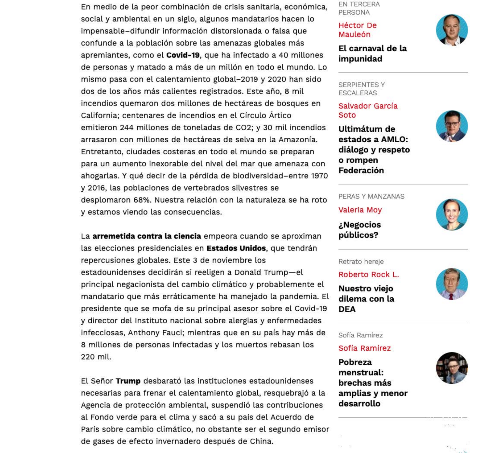En medio de la peor combinación de crisis sanitaria, económica, social y ambiental en un siglo, algunos mandatarios hacen lo impensable-difundir información distorsionada o falsa que confunde a la población sobre las amenazas globales más apremiantes, como el **Covid-19**, que ha infectado a 40 millones de personas y matado a más de un millón en todo el mundo. Lo mismo pasa con el calentamiento global-2019 y 2020 han sido dos de los años más calientes registrados. Este año, 8 mil incendios quemaron dos millones de hectáreas de bosques en California; centenares de incendios en el Círculo Ártico emitieron 244 millones de toneladas de CO2; y 30 mil incendios arrasaron con millones de hectáreas de selva en la Amazonía. Entretanto, ciudades costeras en todo el mundo se preparan para un aumento inexorable del nivel del mar que amenaza con ahogarlas. Y qué decir de la pérdida de biodiversidad-entre 1970 y 2016, las poblaciones de vertebrados silvestres se desplomaron 68%. Nuestra relación con la naturaleza se ha roto y estamos viendo las consecuencias.

La arremetida contra la ciencia empeora cuando se aproximan las elecciones presidenciales en Estados Unidos, que tendrán repercusiones globales. Este 3 de noviembre los estadounidenses decidirán si reeligen a Donald Trump-el principal negacionista del cambio climático y probablemente el mandatario que más erráticamente ha manejado la pandemia. El presidente que se mofa de su principal asesor sobre el Covid-19 y director del Instituto nacional sobre alergias y enfermedades infecciosas, Anthony Fauci; mientras que en su país hay más de 8 millones de personas infectadas y los muertos rebasan los 220 mil.

El Señor Trump desbarató las instituciones estadounidenses necesarias para frenar el calentamiento global, resquebrajó a la Agencia de protección ambiental, suspendió las contribuciones al Fondo verde para el clima y sacó a su país del Acuerdo de París sobre cambio climático, no obstante ser el segundo emisor de gases de efecto invernadero después de China.

**EN TERCERA** PERSONA

# **Héctor De** Mauleón

El carnaval de la impunidad

**SERPIENTES Y ESCALERAS** 

Salvador García Soto

Ultimátum de estados a AMLO: diálogo y respeto o rompen Federación

PERAS Y MANZANAS

**Valeria Moy** 

Negocios، públicos?

Retrato hereje

Roberto Rock L.

Nuestro viejo dilema con la **DEA** 

Sofía Ramírez

Sofía Ramírez

Pobreza menstrual: brechas más amplias y menor desarrollo

担一 奏























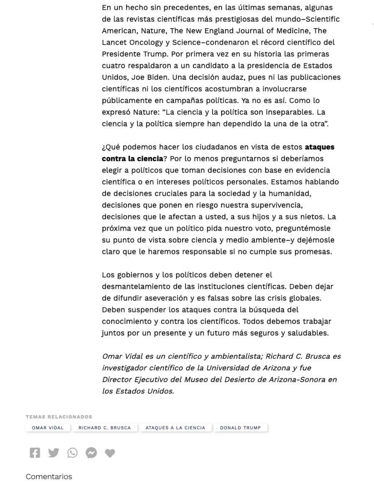En un hecho sin precedentes, en las últimas semanas, algunas de las revistas científicas más prestigiosas del mundo-Scientific American, Nature, The New England Journal of Medicine, The Lancet Oncology y Science-condenaron el récord científico del Presidente Trump. Por primera vez en su historia las primeras cuatro respaldaron a un candidato a la presidencia de Estados Unidos, Joe Biden. Una decisión audaz, pues ni las publicaciones científicas ni los científicos acostumbran a involucrarse públicamente en campañas políticas. Ya no es así. Como lo expresó Nature: "La ciencia y la política son inseparables. La ciencia y la política siempre han dependido la una de la otra".

¿Qué podemos hacer los ciudadanos en vista de estos ataques contra la ciencia? Por lo menos preguntarnos si deberíamos elegir a políticos que toman decisiones con base en evidencia científica o en intereses políticos personales. Estamos hablando de decisiones cruciales para la sociedad y la humanidad, decisiones que ponen en riesgo nuestra supervivencia, decisiones que le afectan a usted, a sus hijos y a sus nietos. La próxima vez que un político pida nuestro voto, preguntémosle su punto de vista sobre ciencia y medio ambiente-y dejémosle claro que le haremos responsable si no cumple sus promesas.

Los gobiernos y los políticos deben detener el desmantelamiento de las instituciones científicas. Deben dejar de difundir aseveración y es falsas sobre las crisis globales. Deben suspender los ataques contra la búsqueda del conocimiento y contra los científicos. Todos debemos trabajar juntos por un presente y un futuro más seguros y saludables.

Omar Vidal es un científico y ambientalista; Richard C. Brusca es investigador científico de la Universidad de Arizona y fue

Director Ejecutivo del Museo del Desierto de Arizona-Sonora en los Estados Unidos.

TEMAS RELACIONADOS

OMAR VIDAL ATAQUES A LA CIENCIA RICHARD C. BRUSCA

**DONALD TRUMP** 



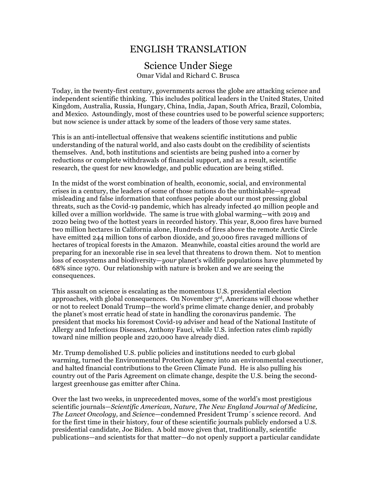## ENGLISH TRANSLATION

### Science Under Siege Omar Vidal and Richard C. Brusca

Today, in the twenty-first century, governments across the globe are attacking science and independent scientific thinking. This includes political leaders in the United States, United Kingdom, Australia, Russia, Hungary, China, India, Japan, South Africa, Brazil, Colombia, and Mexico. Astoundingly, most of these countries used to be powerful science supporters; but now science is under attack by some of the leaders of those very same states.

This is an anti-intellectual offensive that weakens scientific institutions and public understanding of the natural world, and also casts doubt on the credibility of scientists themselves. And, both institutions and scientists are being pushed into a corner by reductions or complete withdrawals of financial support, and as a result, scientific research, the quest for new knowledge, and public education are being stifled.

In the midst of the worst combination of health, economic, social, and environmental crises in a century, the leaders of some of those nations do the unthinkable—spread misleading and false information that confuses people about our most pressing global threats, such as the Covid-19 pandemic, which has already infected 40 million people and killed over a million worldwide. The same is true with global warming—with 2019 and 2020 being two of the hottest years in recorded history. This year, 8,000 fires have burned two million hectares in California alone, Hundreds of fires above the remote Arctic Circle have emitted 244 million tons of carbon dioxide, and 30,000 fires ravaged millions of hectares of tropical forests in the Amazon. Meanwhile, coastal cities around the world are preparing for an inexorable rise in sea level that threatens to drown them. Not to mention loss of ecosystems and biodiversity—*your* planet's wildlife populations have plummeted by 68% since 1970. Our relationship with nature is broken and we are seeing the consequences.

This assault on science is escalating as the momentous U.S. presidential election approaches, with global consequences. On November 3rd, Americans will choose whether or not to reelect Donald Trump—the world's prime climate change denier, and probably the planet's most erratic head of state in handling the coronavirus pandemic. The president that mocks his foremost Covid-19 adviser and head of the National Institute of Allergy and Infectious Diseases, Anthony Fauci, while U.S. infection rates climb rapidly toward nine million people and 220,000 have already died.

Mr. Trump demolished U.S. public policies and institutions needed to curb global warming, turned the Environmental Protection Agency into an environmental executioner, and halted financial contributions to the Green Climate Fund. He is also pulling his country out of the Paris Agreement on climate change, despite the U.S. being the secondlargest greenhouse gas emitter after China.

Over the last two weeks, in unprecedented moves, some of the world's most prestigious scientific journals—*Scientific American, Nature*, *The New England Journal of Medicine, The Lancet Oncology,* and *Scienc*e—condemned President Trump´s science record. And for the first time in their history, four of these scientific journals publicly endorsed a U.S. presidential candidate, Joe Biden. A bold move given that, traditionally, scientific publications—and scientists for that matter—do not openly support a particular candidate